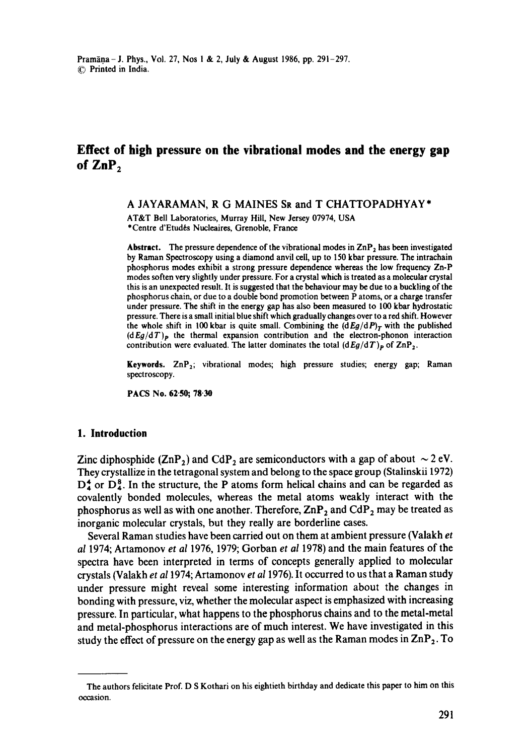# **Effect of high pressure on the vibrational modes and the energy gap**  of ZnP<sub>2</sub>

A JAYARAMAN, R G MAINES SR and T CHATTOPADHYAY\*

AT&T Bell Laboratories, Murray Hill, New Jersey 07974, USA \*Centre d'Etud6s Nuclcaires, Grenoble, France

Abstract. The pressure dependence of the vibrational modes in  $\text{ZnP}_2$  has been investigated by Raman Spectroscopy using a diamond anvil ceil, up to 150 kbar pressure. The intrachain phosphorus modes exhibit a strong pressure dependence whereas the low frequency Zn-P modes soften very slightly under pressure. For a crystal which is treated as a molecular crystal this is an unexpected result. It is suggested that the behaviour may be due to a buckling of the phosphorus chain, or due to a double bond promotion between P atoms, or a charge transfer under pressure. The shift in the energy gap has also been measured to 100 kbar hydrostatic pressure. There is a small initial blue shift which gradually changes over to a red shift. However the whole shift in 100 kbar is quite small. Combining the  $(dEg/dP)<sub>T</sub>$  with the published *(dEg/dT)p* the thermal expansion contribution and the electron-phonon interaction contribution were evaluated. The latter dominates the total  $(dEg/dT)$ <sub>p</sub> of  $\mathbb{ZnP}_2$ .

**Keywords.** ZnP<sub>2</sub>; vibrational modes; high pressure studies; energy gap; Raman spectroscopy.

**PACS No. 62.50; 78.30** 

### **1. Introduction**

Zinc diphosphide (ZnP<sub>2</sub>) and CdP<sub>2</sub> are semiconductors with a gap of about  $\sim$  2 eV. They crystallize in the tetragonal system and belong to the space group (Stalinskii 1972)  $D_4^*$  or  $D_4^8$ . In the structure, the P atoms form helical chains and can be regarded as covalently bonded molecules, whereas the metal atoms weakly interact with the phosphorus as well as with one another. Therefore,  $\mathsf{ZnP}_2$  and  $\mathsf{CdP}_2$  may be treated as inorganic molecular crystals, but they really are borderline cases.

Several Raman studies have been carried out on them at ambient pressure (Valakh *et al* 1974; Artamonov *et al* 1976, 1979; Gorban *et al* 1978) and the main features of the spectra have been interpreted in terms of concepts generally applied to molecular crystals (Valakh *et a11974;* Artamonov *et a11976).* It occurred to us that a Raman study under pressure might reveal some interesting information about the changes in bonding with pressure, viz, whether the molecular aspect is emphasized with increasing pressure. In particular, what happens to the phosphorus chains and to the metal-metal and metal-phosphorus interactions are of much interest. We have investigated in this study the effect of pressure on the energy gap as well as the Raman modes in  $\text{ZnP}_2$ . To

The authors felicitate Prof. D S Kothari on his eightieth birthday and dedicate this paper to him on this occasion.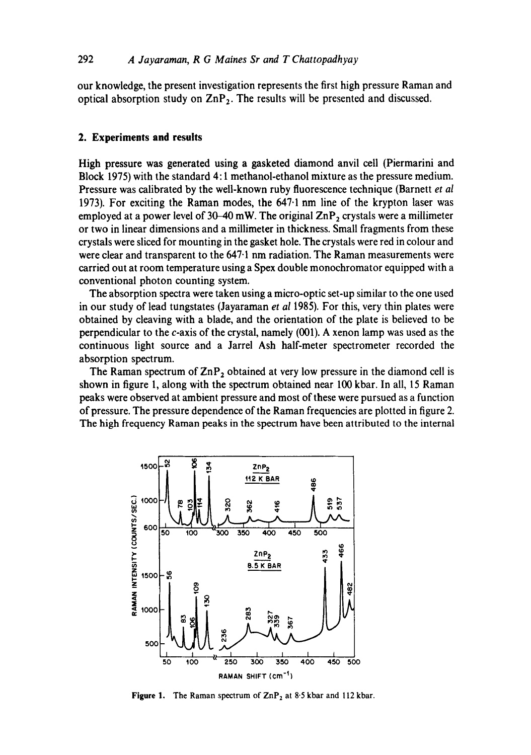our knowledge, the present investigation represents the first high pressure Raman and optical absorption study on  $\text{ZnP}_2$ . The results will be presented and discussed.

### **2. Experiments and results**

High pressure was generated using a gasketed diamond anvil cell (Piermarini and Block 1975) with the standard 4:1 methanol-ethanol mixture as the pressure medium. Pressure was calibrated by the well-known ruby fluorescence technique (Barnett *et al*  1973). For exciting the Raman modes, the 647.1 nm line of the krypton laser was employed at a power level of  $30-40$  mW. The original  $\text{ZnP}_2$  crystals were a millimeter or two in linear dimensions and a millimeter in thickness. Small fragments from these crystals were sliced for mounting in the gasket hole. The crystals were red in colour and were clear and transparent to the 647.1 nm radiation. The Raman measurements were carried out at room temperature using a Spex double monochromator equipped with a conventional photon counting system.

The absorption spectra were taken using a micro-optic set-up similar to the one used in our study of lead tungstates (Jayaraman *et al* 1985). For this, very thin plates were obtained by cleaving with a blade, and the orientation of the plate is believed to be perpendicular to the c-axis of the crystal, namely (001). A xenon lamp was used as the continuous light source and a Jarrel Ash half-meter spectrometer recorded the absorption spectrum.

The Raman spectrum of  $\text{ZnP}_2$  obtained at very low pressure in the diamond cell is shown in figure 1, along with the spectrum obtained near 100 kbar. In all, 15 Raman peaks were observed at ambient pressure and most of these were pursued as a function of pressure. The pressure dependence of the Raman frequencies are plotted in figure 2. The high frequency Raman peaks in the spectrum have been attributed to the internal



**Figure 1.** The Raman spectrum of ZnP<sub>2</sub> at 8.5 kbar and 112 kbar.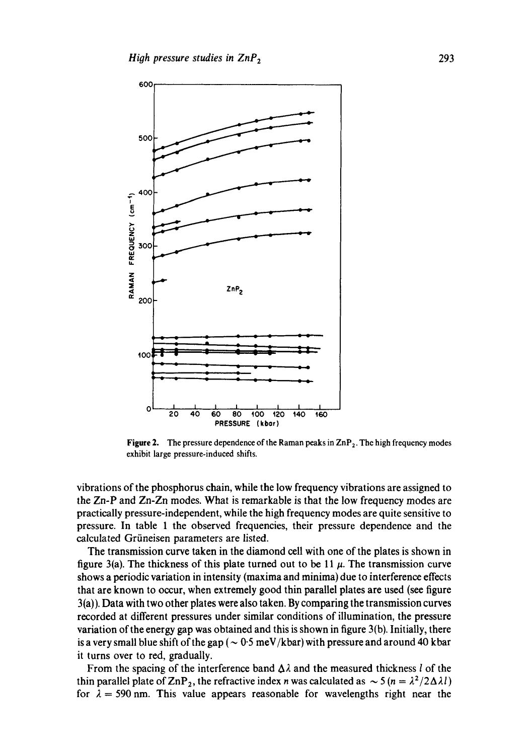

**Figure 2.** The pressure dependence of the Raman peaks in ZnP<sub>2</sub>. The high frequency modes **exhibit large pressure-induced shifts.** 

**vibrations of the phosphorus chain, while the low frequency vibrations are assigned to the Zn-P and** *Zn-Zn* **modes. What is remarkable is that the low frequency modes are practically pressure-independent, while the high frequency modes are quite sensitive to pressure. In table 1 the observed frequencies, their pressure dependence and the**  calculated Grüneisen parameters are listed.

**The transmission curve taken in the diamond cell with one of the plates is shown in**  figure 3(a). The thickness of this plate turned out to be 11  $\mu$ . The transmission curve **shows a periodic variation in intensity (maxima and minima) due to interference effects that are known to occur, when extremely good thin parallel plates are used (see figure 3(a)). Data with two other plates were also taken. By comparing the transmission curves recorded at different pressures under similar conditions of illumination, the pressure variation of the energy gap was obtained and this is shown in figure 3(b). Initially, there**  is a very small blue shift of the gap ( $\sim 0.5$  meV/kbar) with pressure and around 40 kbar **it turns over to red, gradually.** 

From the spacing of the interference band  $\Delta \lambda$  and the measured thickness *l* of the thin parallel plate of  $\text{ZnP}_2$ , the refractive index *n* was calculated as  $\sim 5$  ( $n = \frac{\lambda^2}{2\Delta\lambda l}$ ) for  $\lambda = 590$  nm. This value appears reasonable for wavelengths right near the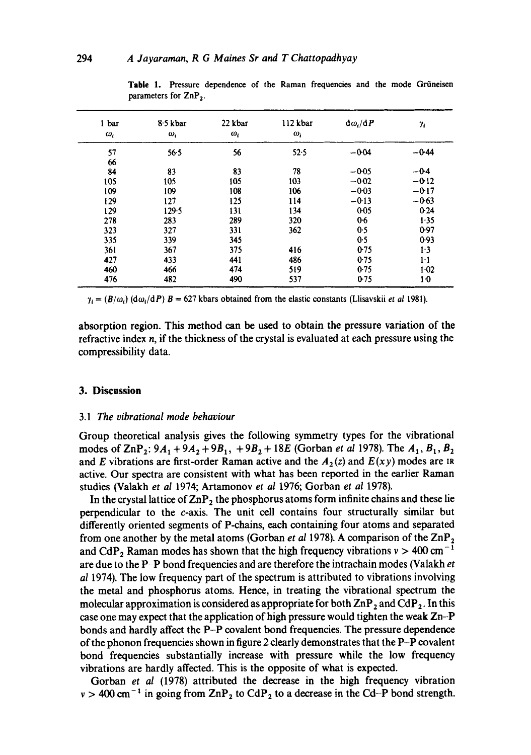| 1 bar<br>$\omega_i$ | 8.5 kbar<br>$\omega_i$ | 22 kbar<br>$\omega_i$ | 112 kbar<br>$\omega_i$ | $d\omega_i/dP$ | $\gamma_i$ |
|---------------------|------------------------|-----------------------|------------------------|----------------|------------|
| 57                  | 56.5                   | 56                    | $52 - 5$               | $-0.04$        | $-0.44$    |
| 66                  |                        |                       |                        |                |            |
| 84                  | 83                     | 83                    | 78                     | $-0.05$        | $-0.4$     |
| 105                 | 105                    | 105                   | 103                    | $-0.02$        | $-0.12$    |
| 109                 | 109                    | 108                   | 106                    | $-0.03$        | $-0.17$    |
| 129                 | 127                    | 125                   | 114                    | $-0.13$        | $-0.63$    |
| 129                 | 129.5                  | 131                   | 134                    | 0.05           | $0-24$     |
| 278                 | 283                    | 289                   | 320                    | $0-6$          | 1.35       |
| 323                 | 327                    | 331                   | 362                    | 0.5            | 0.97       |
| 335                 | 339                    | 345                   |                        | 0.5            | 0.93       |
| 361                 | 367                    | 375                   | 416                    | 0.75           | 1.3        |
| 427                 | 433                    | 441                   | 486                    | 0.75           | $1-1$      |
| 460                 | 466                    | 474                   | 519                    | 0.75           | 1.02       |
| 476                 | 482                    | 490                   | 537                    | 0.75           | $1-0$      |

Table 1. Pressure dependence of the Raman frequencies and the mode Griineisen parameters for  $\mathsf{ZnP}_2$ .

 $\gamma_i = (B/\omega_i)$  (d $\omega_i$ /dP)  $B = 627$  kbars obtained from the elastic constants (Llisavskii *et al* 1981).

absorption region. This method can be used to obtain the pressure variation of the refractive index  $n$ , if the thickness of the crystal is evaluated at each pressure using the compressibility data.

### **3. Discussion**

#### *3.1 The vibrational mode behaviour*

Group theoretical analysis gives the following symmetry types for the vibrational modes of  $\text{ZnP}_2$ :  $9A_1 + 9A_2 + 9B_1$ ,  $+ 9B_2 + 18E$  (Gorban *et al* 1978). The  $A_1, B_1, B_2$ and E vibrations are first-order Raman active and the  $A_2(z)$  and  $E(xy)$  modes are IR active. Our spectra are consistent with what has been reported in the earlier Raman studies (Valakh *et al* 1974; Artamonov *et al* 1976; Gorban *et al* 1978).

In the crystal lattice of  $\text{ZnP}_2$  the phosphorus atoms form infinite chains and these lie perpendicular to the c-axis. The unit cell contains four structurally similar but differently oriented segments of P-chains, each containing four atoms and separated from one another by the metal atoms (Gorban et al 1978). A comparison of the ZnP<sub>2</sub> and CdP<sub>2</sub> Raman modes has shown that the high frequency vibrations  $v > 400 \text{ cm}^{-1}$ are due to the P-P bond frequencies and are therefore the intrachain modes (Valakh *et al* 1974). The low frequency part of the spectrum is attributed to vibrations involving the metal and phosphorus atoms. Hence, in treating the vibrational spectrum the molecular approximation is considered as appropriate for both  $\text{ZnP}_2$  and  $\text{CdP}_2$ . In this case one may expect that the application of high pressure would tighten the weak Zn-P bonds and hardly affect the P-P covalent bond frequencies. The pressure dependence of the phonon frequencies shown in figure 2 clearly demonstrates that the P-P covalent bond frequencies substantially increase with pressure while the low frequency vibrations are hardly affected. This is the opposite of what is expected.

Gorban *et al* (1978) attributed the decrease in the high frequency vibration  $v > 400$  cm<sup>-1</sup> in going from  $\text{ZnP}_2$  to  $\text{CdP}_2$  to a decrease in the Cd-P bond strength.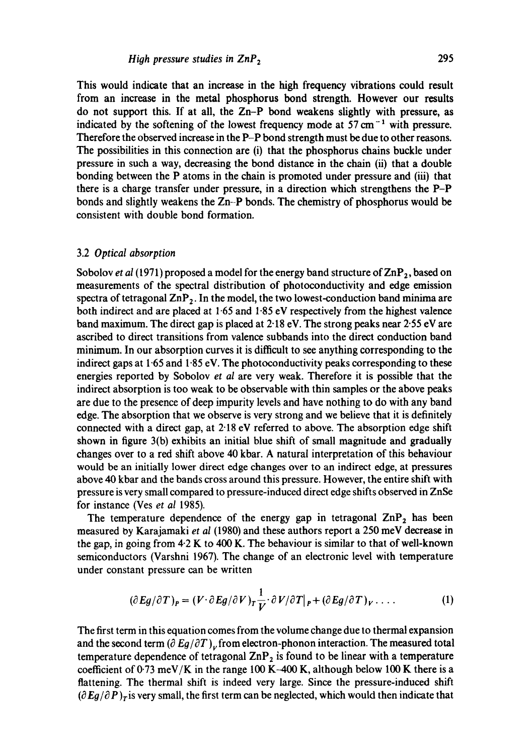This would indicate that an increase in the high frequency vibrations could result from an increase in the metal phosphorus bond strength. However our results do not support this. If at all, the Zn-P bond weakens slightly with pressure, as indicated by the softening of the lowest frequency mode at  $57 \text{ cm}^{-1}$  with pressure. Therefore the observed increase in the P-P bond strength must be due to other reasons. The possibilities in this connection are (i) that the phosphorus chains buckle under pressure in such a way, decreasing the bond distance in the chain (ii) that a double bonding between the P atoms in the chain is promoted under pressure and (iii) that there is a charge transfer under pressure, in a direction which strengthens the P-P bonds and slightly weakens the Zn-P bonds. The chemistry of phosphorus would be consistent with double bond formation.

## 3.2 *Optical absorption*

Sobolov *et al* (1971) proposed a model for the energy band structure of  $\text{ZnP}_2$ , based on measurements of the spectral distribution of photoconductivity and edge emission spectra of tetragonal  $\mathbb{ZnP}_2$ . In the model, the two lowest-conduction band minima are both indirect and are placed at 1.65 and 1-85 eV respectively from the highest valence band maximum. The direct gap is placed at  $2.18$  eV. The strong peaks near  $2.55$  eV are ascribed to direct transitions from valence subbands into the direct conduction band minimum. In our absorption curves it is difficult to see anything corresponding to the indirect gaps at 1.65 and 1.85 eV. The photoconductivity peaks corresponding to these energies reported by Sobolov *et al* are very weak. Therefore it is possible that the indirect absorption is too weak to be observable with thin samples or the above peaks are due to the presence of deep impurity levels and have nothing to do with any band edge. The absorption that we observe is very strong and we believe that it is definitely connected with a direct gap, at 2"18 eV referred to above. The absorption edge shift shown in figure 3(b) exhibits an initial blue shift of small magnitude and gradually changes over to a red shift above 40 kbar. A natural interpretation of this behaviour would be an initially lower direct edge changes over to an indirect edge, at pressures above 40 kbar and the bands cross around this pressure. However, the entire shift with pressure is very small compared to pressure-induced direct edge shifts observed in ZnSe for instance (Ves *et al* 1985).

The temperature dependence of the energy gap in tetragonal  $\text{ZnP}_2$  has been measured by Karajamaki *et al* (1980) and these authors report a 250 meV decrease in the gap, in going from 4-2 K to 400 K. The behaviour is similar to that of well-known semiconductors (Varshni 1967). The change of an electronic level with temperature under constant pressure can be written

$$
(\partial Eg/\partial T)_P = (V \cdot \partial Eg/\partial V)_T \frac{1}{V} \cdot \partial V/\partial T|_P + (\partial Eg/\partial T)_V \cdot \ldots \qquad (1)
$$

The first term in this equation comes from the volume change due to thermal expansion and the second term  $(\partial Eg/\partial T)_\nu$  from electron-phonon interaction. The measured total temperature dependence of tetragonal  $\text{ZnP}_2$  is found to be linear with a temperature coefficient of 0.73 meV/K in the range 100 K-400 K, although below 100 K there is a flattening. The thermal shift is indeed very large. Since the pressure-induced shift  $(\partial E_g/\partial P)_r$  is very small, the first term can be neglected, which would then indicate that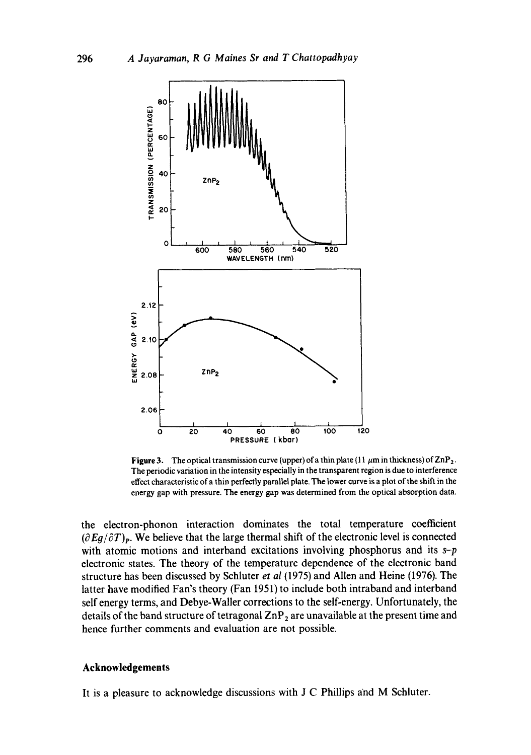

**Figure 3.** The optical transmission curve (upper) of a thin plate  $(11 \mu m)$  in thickness) of  $\mathbb{Z}nP_2$ . **The periodic variation in the intensity especially in the transparent region is due to interference effect characteristic of a thin perfectly parallel plate. The |ower curve is a plot of the shift in the energy gap with pressure. The energy gap was determined from the optical absorption data.** 

**the electron-phonon interaction dominates the total temperature coefficient**   $(\partial Eq/\partial T)_p$ . We believe that the large thermal shift of the electronic level is connected **with atomic motions and interband excitations involving phosphorus and its** *s-p*  **electronic states. The theory of the temperature dependence of the electronic band structure has been discussed by Schluter** *et al* **(1975) and Allen and Heine (1976). The latter have modified Fan's theory (Fan 1951) to include both intraband and interband self energy terms, and Debye-Waller corrections to the self-energy. Unfortunately, the**  details of the band structure of tetragonal ZnP<sub>2</sub> are unavailable at the present time and **hence further comments and evaluation are not possible.** 

# **Acknowledgements**

**It is a pleasure to acknowledge discussions with J C Phillips and M Schluter.**